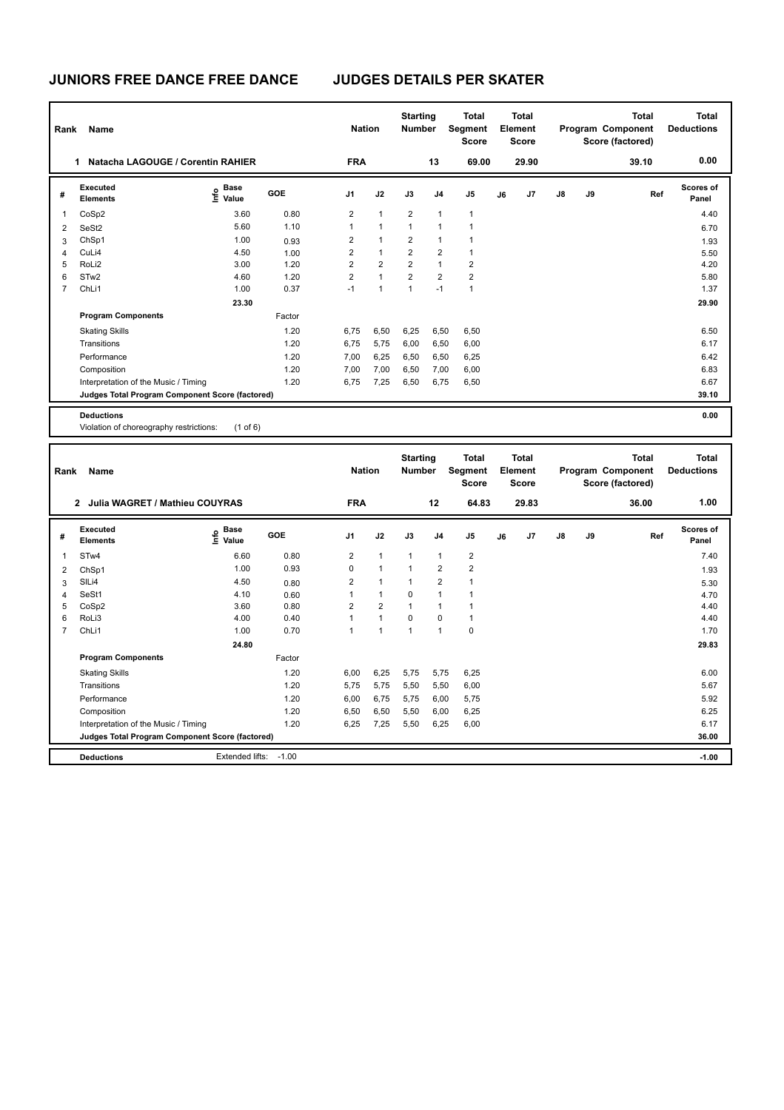| Rank                     | <b>Name</b>                                                                                                                                                                                                                                                                                                   |                                  |        | <b>Nation</b>           |                | <b>Starting</b><br><b>Number</b> |                | <b>Total</b><br>Segment<br><b>Score</b> |    | <b>Total</b><br>Element<br><b>Score</b> |               |    | <b>Total</b><br>Program Component<br>Score (factored) | <b>Total</b><br><b>Deductions</b> |
|--------------------------|---------------------------------------------------------------------------------------------------------------------------------------------------------------------------------------------------------------------------------------------------------------------------------------------------------------|----------------------------------|--------|-------------------------|----------------|----------------------------------|----------------|-----------------------------------------|----|-----------------------------------------|---------------|----|-------------------------------------------------------|-----------------------------------|
|                          | Natacha LAGOUGE / Corentin RAHIER<br>1                                                                                                                                                                                                                                                                        |                                  |        | <b>FRA</b>              |                |                                  | 13             | 69.00                                   |    | 29.90                                   |               |    | 39.10                                                 | 0.00                              |
| #                        | Executed<br><b>Elements</b>                                                                                                                                                                                                                                                                                   | <b>Base</b><br>o Base<br>⊆ Value | GOE    | J1                      | J2             | J3                               | J <sub>4</sub> | J <sub>5</sub>                          | J6 | J <sub>7</sub>                          | $\mathsf{J}8$ | J9 | Ref                                                   | Scores of<br>Panel                |
| $\overline{\phantom{a}}$ | CoSp2                                                                                                                                                                                                                                                                                                         | 3.60                             | 0.80   | $\overline{2}$          | $\mathbf{1}$   | $\overline{2}$                   | 1              | $\mathbf{1}$                            |    |                                         |               |    |                                                       | 4.40                              |
| 2                        | SeSt <sub>2</sub>                                                                                                                                                                                                                                                                                             | 5.60                             | 1.10   | 1                       | $\mathbf{1}$   | 1                                | 1              | 1                                       |    |                                         |               |    |                                                       | 6.70                              |
| 3                        | ChSp1                                                                                                                                                                                                                                                                                                         | 1.00                             | 0.93   | $\overline{2}$          | 1              | $\overline{2}$                   | 1              | 1                                       |    |                                         |               |    |                                                       | 1.93                              |
| 4                        | CuLi4                                                                                                                                                                                                                                                                                                         | 4.50                             | 1.00   | $\overline{2}$          | $\mathbf{1}$   | $\overline{2}$                   | $\overline{2}$ | 1                                       |    |                                         |               |    |                                                       | 5.50                              |
| 5                        | RoLi <sub>2</sub>                                                                                                                                                                                                                                                                                             | 3.00                             | 1.20   | $\overline{2}$          | $\overline{2}$ | $\overline{2}$                   | 1              | $\overline{2}$                          |    |                                         |               |    |                                                       | 4.20                              |
| 6                        | STw <sub>2</sub>                                                                                                                                                                                                                                                                                              | 4.60                             | 1.20   | $\overline{\mathbf{c}}$ | $\mathbf{1}$   | $\overline{2}$                   | $\overline{2}$ | $\overline{2}$                          |    |                                         |               |    |                                                       | 5.80                              |
| 7                        | ChLi1                                                                                                                                                                                                                                                                                                         | 1.00                             | 0.37   | $-1$                    | $\mathbf{1}$   | $\mathbf{1}$                     | $-1$           | $\mathbf{1}$                            |    |                                         |               |    |                                                       | 1.37                              |
|                          |                                                                                                                                                                                                                                                                                                               | 23.30                            |        |                         |                |                                  |                |                                         |    |                                         |               |    |                                                       | 29.90                             |
|                          | <b>Program Components</b>                                                                                                                                                                                                                                                                                     |                                  | Factor |                         |                |                                  |                |                                         |    |                                         |               |    |                                                       |                                   |
|                          | <b>Skating Skills</b>                                                                                                                                                                                                                                                                                         |                                  | 1.20   | 6,75                    | 6,50           | 6,25                             | 6,50           | 6,50                                    |    |                                         |               |    |                                                       | 6.50                              |
|                          | Transitions                                                                                                                                                                                                                                                                                                   |                                  | 1.20   | 6,75                    | 5,75           | 6,00                             | 6,50           | 6,00                                    |    |                                         |               |    |                                                       | 6.17                              |
|                          | Performance                                                                                                                                                                                                                                                                                                   |                                  | 1.20   | 7,00                    | 6,25           | 6,50                             | 6,50           | 6,25                                    |    |                                         |               |    |                                                       | 6.42                              |
|                          | Composition                                                                                                                                                                                                                                                                                                   |                                  | 1.20   | 7,00                    | 7,00           | 6,50                             | 7,00           | 6,00                                    |    |                                         |               |    |                                                       | 6.83                              |
|                          | Interpretation of the Music / Timing                                                                                                                                                                                                                                                                          |                                  | 1.20   | 6,75                    | 7,25           | 6,50                             | 6,75           | 6,50                                    |    |                                         |               |    |                                                       | 6.67                              |
|                          | Judges Total Program Component Score (factored)                                                                                                                                                                                                                                                               |                                  |        |                         |                |                                  |                |                                         |    |                                         |               |    |                                                       | 39.10                             |
|                          | <b>Deductions</b><br>$\mathbf{A}$ , $\mathbf{B}$ , and $\mathbf{B}$ , and $\mathbf{B}$ , and $\mathbf{B}$ , and $\mathbf{B}$ , and $\mathbf{B}$ , and $\mathbf{B}$ , and $\mathbf{B}$ , and $\mathbf{B}$ , and $\mathbf{B}$ , and $\mathbf{B}$ , and $\mathbf{B}$ , and $\mathbf{B}$ , and $\mathbf{B}$ , and | $\mathbf{A}$                     |        |                         |                |                                  |                |                                         |    |                                         |               |    |                                                       | 0.00                              |

Violation of choreography restrictions: (1 of 6)

| Rank           | Name                                            |                                  |         | <b>Nation</b>  |                | <b>Starting</b><br><b>Number</b> |                | <b>Total</b><br>Segment<br><b>Score</b> |    | <b>Total</b><br>Element<br><b>Score</b> |               |    | <b>Total</b><br>Program Component<br>Score (factored) | Total<br><b>Deductions</b> |
|----------------|-------------------------------------------------|----------------------------------|---------|----------------|----------------|----------------------------------|----------------|-----------------------------------------|----|-----------------------------------------|---------------|----|-------------------------------------------------------|----------------------------|
|                | 2 Julia WAGRET / Mathieu COUYRAS                |                                  |         | <b>FRA</b>     |                |                                  | 12             | 64.83                                   |    | 29.83                                   |               |    | 36.00                                                 | 1.00                       |
| #              | Executed<br><b>Elements</b>                     | <b>Base</b><br>e Base<br>E Value | GOE     | J1             | J2             | J3                               | J <sub>4</sub> | J <sub>5</sub>                          | J6 | J7                                      | $\mathsf{J}8$ | J9 | Ref                                                   | <b>Scores of</b><br>Panel  |
| 1              | STw4                                            | 6.60                             | 0.80    | $\overline{2}$ | $\mathbf{1}$   | $\mathbf{1}$                     | $\mathbf{1}$   | $\overline{2}$                          |    |                                         |               |    |                                                       | 7.40                       |
| $\overline{2}$ | ChSp1                                           | 1.00                             | 0.93    | 0              | $\mathbf{1}$   | $\mathbf{1}$                     | $\overline{2}$ | $\overline{2}$                          |    |                                         |               |    |                                                       | 1.93                       |
| 3              | SILi4                                           | 4.50                             | 0.80    | $\overline{2}$ | $\mathbf{1}$   | $\mathbf{1}$                     | $\overline{2}$ | 1                                       |    |                                         |               |    |                                                       | 5.30                       |
| 4              | SeSt1                                           | 4.10                             | 0.60    | 1              | $\mathbf{1}$   | $\Omega$                         | 1              | 1                                       |    |                                         |               |    |                                                       | 4.70                       |
| 5              | CoSp2                                           | 3.60                             | 0.80    | 2              | $\overline{2}$ | $\mathbf{1}$                     | -1             | 1                                       |    |                                         |               |    |                                                       | 4.40                       |
| 6              | RoLi3                                           | 4.00                             | 0.40    |                | $\mathbf{1}$   | $\Omega$                         | $\Omega$       | $\mathbf{1}$                            |    |                                         |               |    |                                                       | 4.40                       |
| $\overline{7}$ | ChLi1                                           | 1.00                             | 0.70    | 1              | $\mathbf{1}$   | $\mathbf{1}$                     | 1              | $\mathbf 0$                             |    |                                         |               |    |                                                       | 1.70                       |
|                |                                                 | 24.80                            |         |                |                |                                  |                |                                         |    |                                         |               |    |                                                       | 29.83                      |
|                | <b>Program Components</b>                       |                                  | Factor  |                |                |                                  |                |                                         |    |                                         |               |    |                                                       |                            |
|                | <b>Skating Skills</b>                           |                                  | 1.20    | 6,00           | 6,25           | 5,75                             | 5,75           | 6,25                                    |    |                                         |               |    |                                                       | 6.00                       |
|                | Transitions                                     |                                  | 1.20    | 5,75           | 5,75           | 5,50                             | 5,50           | 6,00                                    |    |                                         |               |    |                                                       | 5.67                       |
|                | Performance                                     |                                  | 1.20    | 6,00           | 6.75           | 5.75                             | 6,00           | 5,75                                    |    |                                         |               |    |                                                       | 5.92                       |
|                | Composition                                     |                                  | 1.20    | 6,50           | 6,50           | 5,50                             | 6.00           | 6,25                                    |    |                                         |               |    |                                                       | 6.25                       |
|                | Interpretation of the Music / Timing            |                                  | 1.20    | 6,25           | 7,25           | 5,50                             | 6,25           | 6,00                                    |    |                                         |               |    |                                                       | 6.17                       |
|                | Judges Total Program Component Score (factored) |                                  |         |                |                |                                  |                |                                         |    |                                         |               |    |                                                       | 36.00                      |
|                | <b>Deductions</b>                               | Extended lifts:                  | $-1.00$ |                |                |                                  |                |                                         |    |                                         |               |    |                                                       | $-1.00$                    |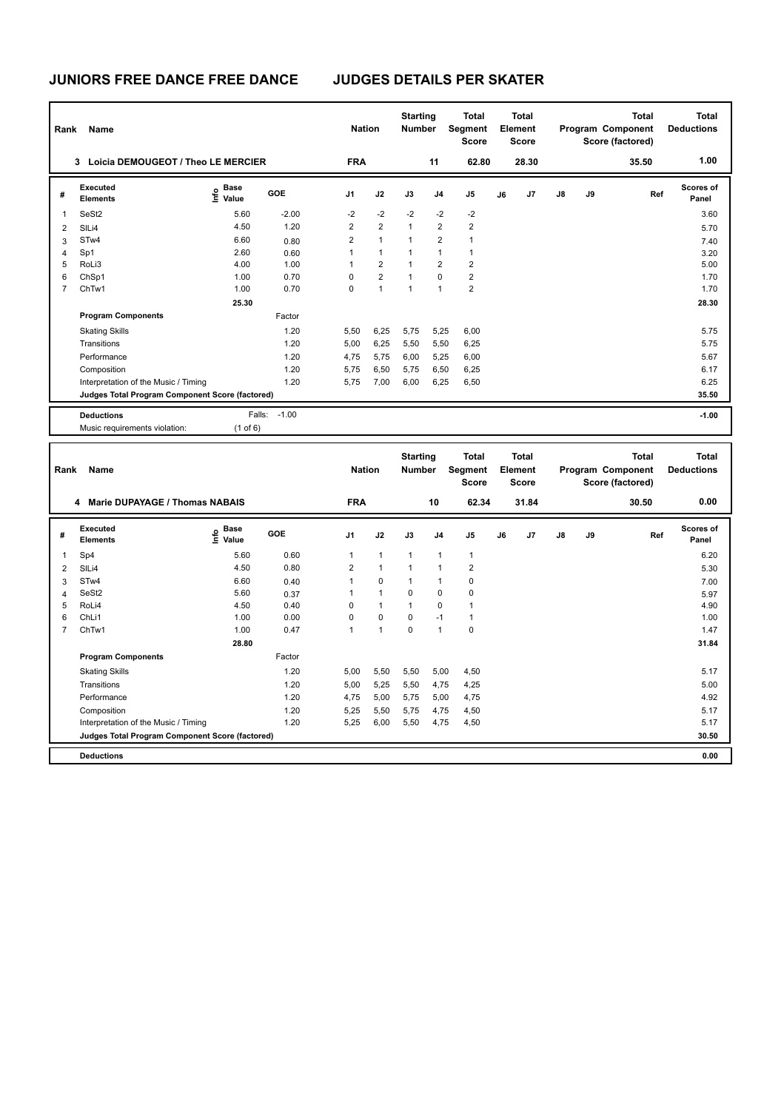| 3 Loicia DEMOUGEOT / Theo LE MERCIER<br><b>FRA</b><br>11<br>62.80<br>28.30<br>35.50<br><b>Executed</b><br>e Base<br>⊆ Value<br>GOE<br>J7<br>J9<br>J1<br>J2<br>J3<br>J <sub>4</sub><br>J5<br>J8<br>#<br>J6<br><b>Elements</b> | 1.00<br>Scores of<br>Ref<br>Panel<br>3.60 |  |
|------------------------------------------------------------------------------------------------------------------------------------------------------------------------------------------------------------------------------|-------------------------------------------|--|
|                                                                                                                                                                                                                              |                                           |  |
|                                                                                                                                                                                                                              |                                           |  |
| $-2$<br>$-2$<br>$-2$<br>$-2$<br>$-2$<br>SeSt <sub>2</sub><br>$-2.00$<br>1<br>5.60                                                                                                                                            |                                           |  |
| $\overline{2}$<br>$\overline{2}$<br>$\mathbf{1}$<br>$\overline{2}$<br>$\overline{2}$<br>1.20<br>4.50<br>$\overline{\mathbf{c}}$<br>SILi4                                                                                     | 5.70                                      |  |
| $\overline{2}$<br>$\mathbf{1}$<br>$\mathbf{1}$<br>$\overline{2}$<br>STw4<br>6.60<br>$\mathbf{1}$<br>3<br>0.80                                                                                                                | 7.40                                      |  |
| $\mathbf{1}$<br>$\mathbf{1}$<br>$\mathbf{1}$<br>$\mathbf{1}$<br>Sp1<br>2.60<br>$\mathbf{1}$<br>$\overline{4}$<br>0.60                                                                                                        | 3.20                                      |  |
| 5<br>RoLi3<br>4.00<br>1.00<br>$\overline{1}$<br>$\overline{2}$<br>$\mathbf{1}$<br>$\overline{2}$<br>$\overline{2}$                                                                                                           | 5.00                                      |  |
| $\overline{2}$<br>$\overline{2}$<br>6<br>$\mathbf 0$<br>$\mathbf{1}$<br>$\mathbf 0$<br>ChSp1<br>1.00<br>0.70                                                                                                                 | 1.70                                      |  |
| $\overline{7}$<br>1.00<br>0.70<br>$\Omega$<br>$\mathbf{1}$<br>$\mathbf{1}$<br>$\mathbf{1}$<br>$\overline{2}$<br>ChTw1                                                                                                        | 1.70                                      |  |
| 25.30                                                                                                                                                                                                                        | 28.30                                     |  |
| <b>Program Components</b><br>Factor                                                                                                                                                                                          |                                           |  |
| 1.20<br><b>Skating Skills</b><br>5,50<br>6,25<br>5,75<br>5,25<br>6,00                                                                                                                                                        | 5.75                                      |  |
| 1.20<br>5,50<br>Transitions<br>5,00<br>6,25<br>5,50<br>6,25                                                                                                                                                                  | 5.75                                      |  |
| 1.20<br>4,75<br>5,75<br>Performance<br>6,00<br>5,25<br>6,00                                                                                                                                                                  | 5.67                                      |  |
| 1.20<br>6,50<br>5,75<br>6,25<br>Composition<br>5,75<br>6,50                                                                                                                                                                  | 6.17                                      |  |
| 1.20<br>7,00<br>6,50<br>Interpretation of the Music / Timing<br>5,75<br>6,00<br>6,25                                                                                                                                         | 6.25                                      |  |
| Judges Total Program Component Score (factored)                                                                                                                                                                              | 35.50                                     |  |
| Falls: -1.00<br><b>Deductions</b>                                                                                                                                                                                            | $-1.00$                                   |  |
| Music requirements violation:<br>$(1$ of $6)$                                                                                                                                                                                |                                           |  |
|                                                                                                                                                                                                                              |                                           |  |
| <b>Starting</b><br><b>Total</b><br>Total<br><b>Total</b>                                                                                                                                                                     | <b>Total</b>                              |  |
| Segment<br>Program Component<br><b>Nation</b><br>Number<br>Element<br>Rank<br>Name                                                                                                                                           | <b>Deductions</b>                         |  |
| <b>Score</b><br><b>Score</b><br>Score (factored)                                                                                                                                                                             |                                           |  |
| 4 Marie DUPAYAGE / Thomas NABAIS<br><b>FRA</b><br>10<br>62.34<br>31.84<br>30.50                                                                                                                                              | 0.00                                      |  |
| Executed<br>$\overset{\circ}{\text{E}}$ Value<br><b>GOE</b><br>J1<br>J2<br>J3<br>J5<br>J7<br>J8<br>J9<br>J4<br>J6<br>#<br>Elements                                                                                           | Scores of<br>Ref<br>Panel                 |  |
| Sp4<br>5.60<br>0.60<br>$\mathbf{1}$<br>$\mathbf{1}$<br>$\mathbf{1}$<br>$\mathbf{1}$<br>$\overline{1}$<br>1                                                                                                                   | 6.20                                      |  |
| 4.50<br>$\overline{2}$<br>$\mathbf{1}$<br>$\mathbf{1}$<br>$\mathbf{1}$<br>$\overline{2}$<br>0.80<br>$\overline{2}$<br>SILi4                                                                                                  | 5.30                                      |  |
| $\pmb{0}$<br>STw4<br>6.60<br>$\mathbf{1}$<br>$\mathbf{1}$<br>0<br>1<br>3<br>0.40                                                                                                                                             | 7.00                                      |  |
| SeSt2<br>5.60<br>$\mathbf{1}$<br>$\mathbf{1}$<br>$\mathbf 0$<br>0<br>$\mathbf 0$<br>$\overline{4}$<br>0.37                                                                                                                   | 5.97                                      |  |
| 5<br>$\mathbf{1}$<br>RoLi4<br>4.50<br>$\mathbf 0$<br>$\mathbf{1}$<br>0<br>$\mathbf{1}$<br>0.40                                                                                                                               | 4.90                                      |  |
| $\mathbf 0$<br>$\mathbf 0$<br>$\mathbf 0$<br>6<br>ChLi1<br>1.00<br>0.00<br>$-1$<br>$\mathbf{1}$                                                                                                                              | 1.00                                      |  |
| $\overline{7}$<br>$\Omega$<br>ChTw1<br>1.00<br>0.47<br>$\overline{1}$<br>$\mathbf{1}$<br>$\mathbf{1}$<br>$\mathbf 0$                                                                                                         | 1.47                                      |  |
| 28.80                                                                                                                                                                                                                        | 31.84                                     |  |
| <b>Program Components</b><br>Factor                                                                                                                                                                                          |                                           |  |
| 1.20<br>5,00<br><b>Skating Skills</b><br>5,50<br>5,50<br>5,00<br>4,50                                                                                                                                                        | 5.17                                      |  |
| 1.20<br>Transitions<br>5,00<br>5,25<br>5,50<br>4,25<br>4,75                                                                                                                                                                  | 5.00                                      |  |
| 1.20<br>5,75<br>Performance<br>4,75<br>5,00<br>5,00<br>4,75                                                                                                                                                                  | 4.92                                      |  |
| 1.20<br>5,25<br>5,50<br>5,75<br>4,50<br>Composition<br>4,75                                                                                                                                                                  | 5.17                                      |  |
| Interpretation of the Music / Timing<br>1.20<br>5,25<br>6,00<br>5,50<br>4,50<br>4,75                                                                                                                                         | 5.17                                      |  |
| Judges Total Program Component Score (factored)                                                                                                                                                                              | 30.50                                     |  |

**Deductions 0.00**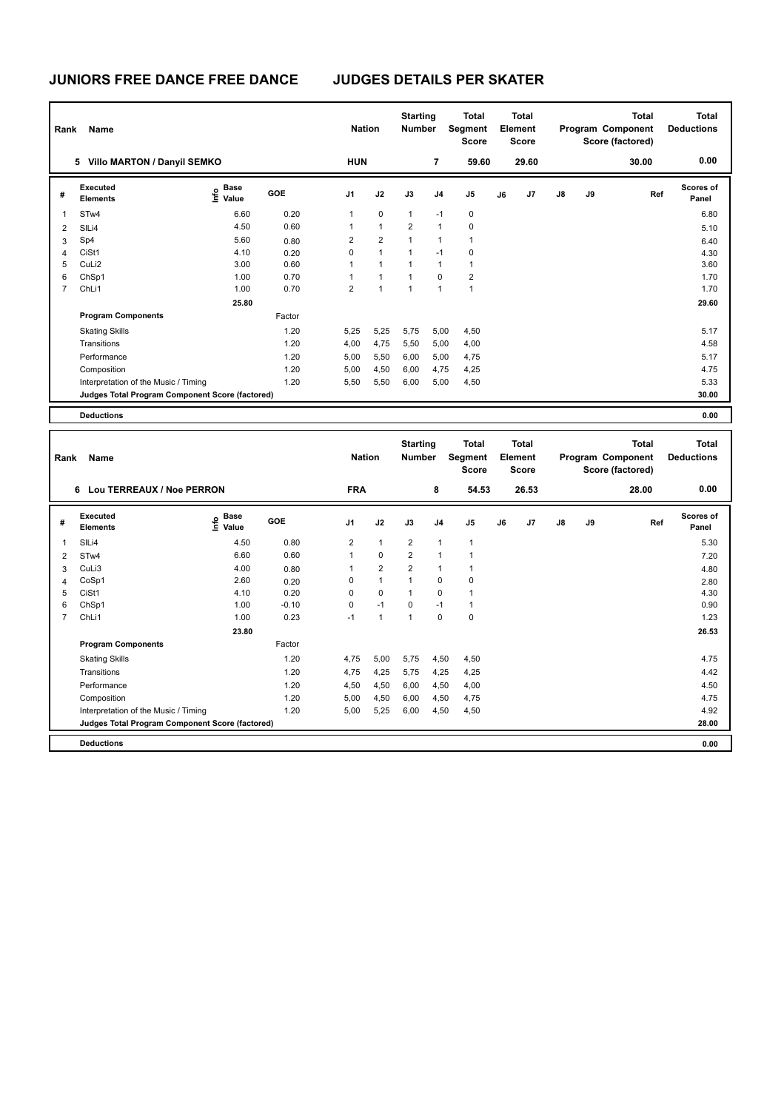| Rank           | Name                                            |                                  |            | <b>Nation</b>  |                | <b>Starting</b><br><b>Number</b> |             | <b>Total</b><br>Segment<br><b>Score</b> |    | Total<br>Element<br><b>Score</b> |               |    | Total<br>Program Component<br>Score (factored) | <b>Total</b><br><b>Deductions</b> |
|----------------|-------------------------------------------------|----------------------------------|------------|----------------|----------------|----------------------------------|-------------|-----------------------------------------|----|----------------------------------|---------------|----|------------------------------------------------|-----------------------------------|
|                | <b>Villo MARTON / Danyil SEMKO</b><br>5         |                                  |            | <b>HUN</b>     |                |                                  | 7           | 59.60                                   |    | 29.60                            |               |    | 30.00                                          | 0.00                              |
| #              | Executed<br><b>Elements</b>                     | <b>Base</b><br>o Base<br>⊆ Value | <b>GOE</b> | J1             | J2             | J3                               | J4          | J <sub>5</sub>                          | J6 | J7                               | $\mathsf{J}8$ | J9 | Ref                                            | <b>Scores of</b><br>Panel         |
| 1              | STw4                                            | 6.60                             | 0.20       | $\mathbf{1}$   | $\mathbf 0$    | $\mathbf{1}$                     | $-1$        | $\mathbf 0$                             |    |                                  |               |    |                                                | 6.80                              |
| $\overline{2}$ | SILi4                                           | 4.50                             | 0.60       | $\mathbf{1}$   | $\mathbf{1}$   | $\overline{2}$                   | 1           | $\mathbf 0$                             |    |                                  |               |    |                                                | 5.10                              |
| 3              | Sp4                                             | 5.60                             | 0.80       | $\overline{2}$ | $\overline{2}$ | 1                                | 1           | $\mathbf{1}$                            |    |                                  |               |    |                                                | 6.40                              |
| 4              | CiSt1                                           | 4.10                             | 0.20       | 0              | $\mathbf{1}$   | $\mathbf{1}$                     | $-1$        | 0                                       |    |                                  |               |    |                                                | 4.30                              |
| 5              | CuLi2                                           | 3.00                             | 0.60       | 1              | $\mathbf{1}$   | 1                                | 1           | $\mathbf{1}$                            |    |                                  |               |    |                                                | 3.60                              |
| 6              | ChSp1                                           | 1.00                             | 0.70       | 1              | $\mathbf{1}$   | $\mathbf{1}$                     | $\mathbf 0$ | $\overline{2}$                          |    |                                  |               |    |                                                | 1.70                              |
| $\overline{7}$ | ChLi1                                           | 1.00                             | 0.70       | $\overline{2}$ | $\mathbf{1}$   | $\mathbf{1}$                     | 1           | $\mathbf{1}$                            |    |                                  |               |    |                                                | 1.70                              |
|                |                                                 | 25.80                            |            |                |                |                                  |             |                                         |    |                                  |               |    |                                                | 29.60                             |
|                | <b>Program Components</b>                       |                                  | Factor     |                |                |                                  |             |                                         |    |                                  |               |    |                                                |                                   |
|                | <b>Skating Skills</b>                           |                                  | 1.20       | 5,25           | 5,25           | 5,75                             | 5,00        | 4,50                                    |    |                                  |               |    |                                                | 5.17                              |
|                | Transitions                                     |                                  | 1.20       | 4,00           | 4,75           | 5,50                             | 5,00        | 4,00                                    |    |                                  |               |    |                                                | 4.58                              |
|                | Performance                                     |                                  | 1.20       | 5,00           | 5,50           | 6,00                             | 5,00        | 4,75                                    |    |                                  |               |    |                                                | 5.17                              |
|                | Composition                                     |                                  | 1.20       | 5,00           | 4,50           | 6,00                             | 4,75        | 4,25                                    |    |                                  |               |    |                                                | 4.75                              |
|                | Interpretation of the Music / Timing            |                                  | 1.20       | 5,50           | 5,50           | 6,00                             | 5,00        | 4,50                                    |    |                                  |               |    |                                                | 5.33                              |
|                | Judges Total Program Component Score (factored) |                                  |            |                |                |                                  |             |                                         |    |                                  |               |    |                                                | 30.00                             |
|                | <b>Deductions</b>                               |                                  |            |                |                |                                  |             |                                         |    |                                  |               |    |                                                | 0.00                              |

**Total Deductions Total Program Component Score (factored) Total Element Score Total Segment Score Starting Rank Name Nation Number # Executed Elements Base Value GOE J1 J2 J3 J4 J5 J6 J7 J8 J9 Scores of Panel** 1 4.50 0.80 2 1 2 1 1 **Ref**  المساحة المساحة المساحة المساحة المساحة المساحة المساحة المساحة المساحة المساحة المساحة المساحة المساحة المساح<br>1.50 International SILi4<br>1.50 0.80 2 1 2 1 1  **6 Lou TERREAUX / Noe PERRON FRA 8 54.53 26.53 28.00 0.00** 2 STw4 6.60 0.60 1 0 2 1 1 7.20 3 CuLi3 4.00 0.80 1 2 2 1 1 4.80 4 CoSp1 2.60 0.20 0 1 1 0 0 2.80 5 CiSt1 4.10 0.20 0 0 1 0 1 4.30 6 ChSp1 1.00 -0.10 0 -1 0 -1 1 0.90 7 ChLi1 1.00 0.23 -1 1 1 0 0 1.23  **23.80 26.53 Program Components**  Skating Skills **4,75** 5,00 5,75 4,50 4,50 Factor 1.20 4.75 Transitions 1.20 4,75 4,25 5,75 4,25 4,25 4.42 Performance 1.20 4,50 4,50 6,00 4,50 4,00 4.50 Composition 1.20 5,00 4,50 6,00 4,50 4,75 4.75 Interpretation of the Music / Timing 1.20 5,00 5,25 6,00 4,50 4,50 4,50 4,50 4.92 4.92 **Deductions 0.00 Judges Total Program Component Score (factored) 28.00**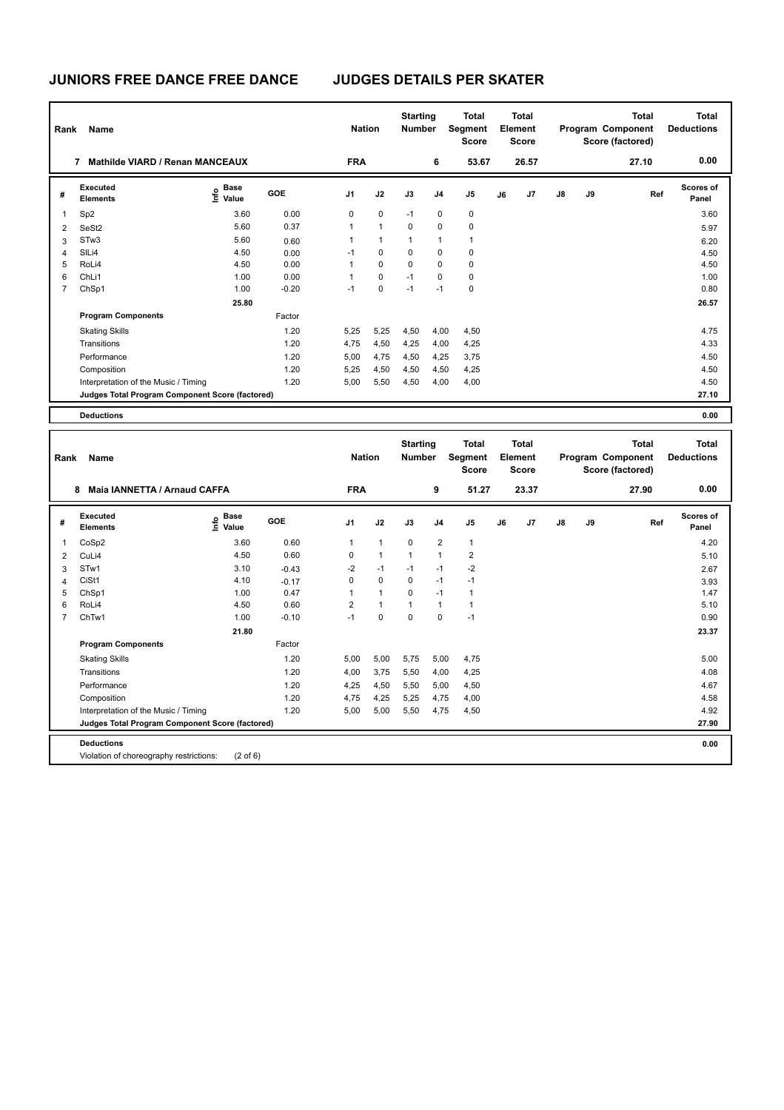| Rank           | Name                                            |                                  |         | <b>Nation</b> |              | <b>Starting</b><br><b>Number</b> |                | <b>Total</b><br>Segment<br><b>Score</b> |    | Total<br>Element<br><b>Score</b> |               |    | Total<br>Program Component<br>Score (factored) | Total<br><b>Deductions</b> |
|----------------|-------------------------------------------------|----------------------------------|---------|---------------|--------------|----------------------------------|----------------|-----------------------------------------|----|----------------------------------|---------------|----|------------------------------------------------|----------------------------|
|                | <b>Mathilde VIARD / Renan MANCEAUX</b><br>7     |                                  |         | <b>FRA</b>    |              |                                  | 6              | 53.67                                   |    | 26.57                            |               |    | 27.10                                          | 0.00                       |
| #              | Executed<br><b>Elements</b>                     | <b>Base</b><br>e Base<br>⊆ Value | GOE     | J1            | J2           | J3                               | J <sub>4</sub> | J <sub>5</sub>                          | J6 | J <sub>7</sub>                   | $\mathsf{J}8$ | J9 | Ref                                            | <b>Scores of</b><br>Panel  |
| $\mathbf{1}$   | Sp <sub>2</sub>                                 | 3.60                             | 0.00    | 0             | $\mathbf 0$  | $-1$                             | 0              | $\mathbf 0$                             |    |                                  |               |    |                                                | 3.60                       |
| $\overline{2}$ | SeSt <sub>2</sub>                               | 5.60                             | 0.37    | 1             | $\mathbf{1}$ | 0                                | 0              | $\mathbf 0$                             |    |                                  |               |    |                                                | 5.97                       |
| 3              | STw3                                            | 5.60                             | 0.60    | 1             | $\mathbf{1}$ | $\mathbf{1}$                     | 1              | 1                                       |    |                                  |               |    |                                                | 6.20                       |
| $\overline{4}$ | SILi4                                           | 4.50                             | 0.00    | $-1$          | $\mathbf 0$  | 0                                | 0              | $\mathbf 0$                             |    |                                  |               |    |                                                | 4.50                       |
| 5              | RoLi4                                           | 4.50                             | 0.00    | 1             | $\mathbf 0$  | 0                                | 0              | $\mathbf 0$                             |    |                                  |               |    |                                                | 4.50                       |
| 6              | ChLi1                                           | 1.00                             | 0.00    | 1             | $\mathbf 0$  | $-1$                             | 0              | 0                                       |    |                                  |               |    |                                                | 1.00                       |
| $\overline{7}$ | ChSp1                                           | 1.00                             | $-0.20$ | $-1$          | 0            | $-1$                             | $-1$           | 0                                       |    |                                  |               |    |                                                | 0.80                       |
|                |                                                 | 25.80                            |         |               |              |                                  |                |                                         |    |                                  |               |    |                                                | 26.57                      |
|                | <b>Program Components</b>                       |                                  | Factor  |               |              |                                  |                |                                         |    |                                  |               |    |                                                |                            |
|                | <b>Skating Skills</b>                           |                                  | 1.20    | 5,25          | 5,25         | 4,50                             | 4,00           | 4,50                                    |    |                                  |               |    |                                                | 4.75                       |
|                | Transitions                                     |                                  | 1.20    | 4,75          | 4,50         | 4,25                             | 4,00           | 4,25                                    |    |                                  |               |    |                                                | 4.33                       |
|                | Performance                                     |                                  | 1.20    | 5,00          | 4,75         | 4,50                             | 4,25           | 3,75                                    |    |                                  |               |    |                                                | 4.50                       |
|                | Composition                                     |                                  | 1.20    | 5,25          | 4,50         | 4,50                             | 4,50           | 4,25                                    |    |                                  |               |    |                                                | 4.50                       |
|                | Interpretation of the Music / Timing            |                                  | 1.20    | 5,00          | 5,50         | 4,50                             | 4,00           | 4,00                                    |    |                                  |               |    |                                                | 4.50                       |
|                | Judges Total Program Component Score (factored) |                                  |         |               |              |                                  |                |                                         |    |                                  |               |    |                                                | 27.10                      |
|                | <b>Deductions</b>                               |                                  |         |               |              |                                  |                |                                         |    |                                  |               |    |                                                | 0.00                       |

| Rank           | Name                                            |                              |         | <b>Nation</b>  |              | <b>Starting</b><br><b>Number</b> |                         | <b>Total</b><br><b>Segment</b><br><b>Score</b> |    | Total<br>Element<br><b>Score</b> |               |    | Total<br>Program Component<br>Score (factored) | Total<br><b>Deductions</b> |
|----------------|-------------------------------------------------|------------------------------|---------|----------------|--------------|----------------------------------|-------------------------|------------------------------------------------|----|----------------------------------|---------------|----|------------------------------------------------|----------------------------|
|                | Maia IANNETTA / Arnaud CAFFA<br>8               |                              |         | <b>FRA</b>     |              |                                  | 9                       | 51.27                                          |    | 23.37                            |               |    | 27.90                                          | 0.00                       |
| #              | Executed<br><b>Elements</b>                     | <b>Base</b><br>١nf٥<br>Value | GOE     | J1             | J2           | J3                               | J <sub>4</sub>          | J <sub>5</sub>                                 | J6 | J7                               | $\mathsf{J}8$ | J9 | Ref                                            | <b>Scores of</b><br>Panel  |
| 1              | CoSp2                                           | 3.60                         | 0.60    | 1              | $\mathbf{1}$ | $\mathbf 0$                      | $\overline{\mathbf{c}}$ | $\mathbf{1}$                                   |    |                                  |               |    |                                                | 4.20                       |
| 2              | CuLi4                                           | 4.50                         | 0.60    | 0              | $\mathbf{1}$ | $\mathbf{1}$                     | 1                       | $\overline{\mathbf{c}}$                        |    |                                  |               |    |                                                | 5.10                       |
| 3              | STw1                                            | 3.10                         | $-0.43$ | $-2$           | $-1$         | $-1$                             | $-1$                    | $-2$                                           |    |                                  |               |    |                                                | 2.67                       |
| $\overline{4}$ | CiSt1                                           | 4.10                         | $-0.17$ | 0              | 0            | $\mathbf 0$                      | $-1$                    | $-1$                                           |    |                                  |               |    |                                                | 3.93                       |
| 5              | ChSp1                                           | 1.00                         | 0.47    | 1              | $\mathbf{1}$ | $\Omega$                         | $-1$                    | 1                                              |    |                                  |               |    |                                                | 1.47                       |
| 6              | RoLi4                                           | 4.50                         | 0.60    | $\overline{2}$ | $\mathbf{1}$ | $\mathbf{1}$                     | $\mathbf{1}$            | 1                                              |    |                                  |               |    |                                                | 5.10                       |
| $\overline{7}$ | ChTw1                                           | 1.00                         | $-0.10$ | $-1$           | 0            | $\mathbf 0$                      | $\Omega$                | $-1$                                           |    |                                  |               |    |                                                | 0.90                       |
|                |                                                 | 21.80                        |         |                |              |                                  |                         |                                                |    |                                  |               |    |                                                | 23.37                      |
|                | <b>Program Components</b>                       |                              | Factor  |                |              |                                  |                         |                                                |    |                                  |               |    |                                                |                            |
|                | <b>Skating Skills</b>                           |                              | 1.20    | 5,00           | 5,00         | 5,75                             | 5,00                    | 4,75                                           |    |                                  |               |    |                                                | 5.00                       |
|                | Transitions                                     |                              | 1.20    | 4,00           | 3.75         | 5,50                             | 4,00                    | 4,25                                           |    |                                  |               |    |                                                | 4.08                       |
|                | Performance                                     |                              | 1.20    | 4,25           | 4,50         | 5,50                             | 5,00                    | 4,50                                           |    |                                  |               |    |                                                | 4.67                       |
|                | Composition                                     |                              | 1.20    | 4,75           | 4,25         | 5,25                             | 4,75                    | 4,00                                           |    |                                  |               |    |                                                | 4.58                       |
|                | Interpretation of the Music / Timing            |                              | 1.20    | 5,00           | 5,00         | 5,50                             | 4,75                    | 4,50                                           |    |                                  |               |    |                                                | 4.92                       |
|                | Judges Total Program Component Score (factored) |                              |         |                |              |                                  |                         |                                                |    |                                  |               |    |                                                | 27.90                      |
|                | <b>Deductions</b>                               |                              |         |                |              |                                  |                         |                                                |    |                                  |               |    |                                                | 0.00                       |
|                | Violation of choreography restrictions:         | $(2 \text{ of } 6)$          |         |                |              |                                  |                         |                                                |    |                                  |               |    |                                                |                            |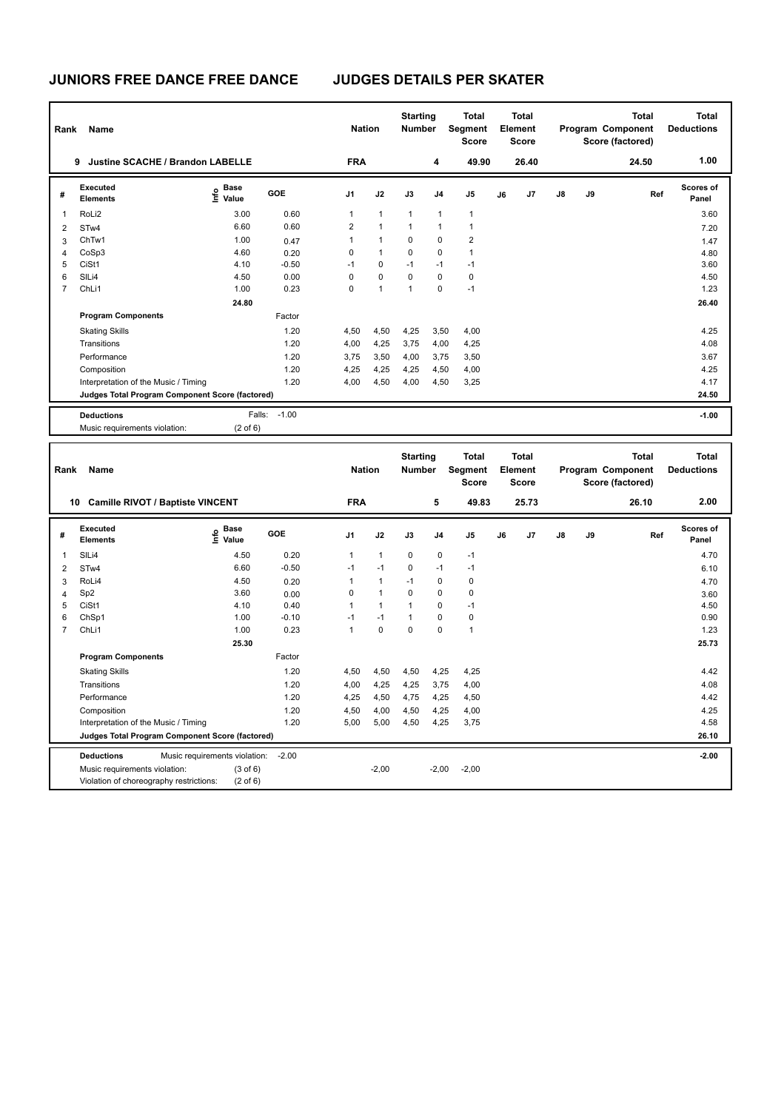| Rank           | Name                                               |                                                      |                 | <b>Nation</b>        |                      | <b>Starting</b><br>Number        |              | <b>Total</b><br>Segment<br><b>Score</b> |    | <b>Total</b><br>Element<br><b>Score</b> |    |    | <b>Total</b><br>Program Component<br>Score (factored) | <b>Total</b><br><b>Deductions</b> |
|----------------|----------------------------------------------------|------------------------------------------------------|-----------------|----------------------|----------------------|----------------------------------|--------------|-----------------------------------------|----|-----------------------------------------|----|----|-------------------------------------------------------|-----------------------------------|
|                | 9 Justine SCACHE / Brandon LABELLE                 |                                                      |                 | <b>FRA</b>           |                      |                                  | 4            | 49.90                                   |    | 26.40                                   |    |    | 24.50                                                 | 1.00                              |
| #              | <b>Executed</b><br><b>Elements</b>                 | e Base<br>E Value                                    | <b>GOE</b>      | J1                   | J2                   | J3                               | J4           | J5                                      | J6 | J7                                      | J8 | J9 | Ref                                                   | Scores of<br>Panel                |
| $\mathbf{1}$   | RoLi2                                              | 3.00                                                 | 0.60            | $\mathbf{1}$         | $\mathbf{1}$         | $\mathbf{1}$                     | $\mathbf{1}$ | $\mathbf{1}$                            |    |                                         |    |    |                                                       | 3.60                              |
| $\overline{2}$ | STw4                                               | 6.60                                                 | 0.60            | $\overline{2}$       | $\mathbf{1}$         | $\mathbf{1}$                     | 1            | 1                                       |    |                                         |    |    |                                                       | 7.20                              |
| 3              | ChTw1                                              | 1.00                                                 | 0.47            | $\mathbf{1}$         | $\mathbf{1}$         | 0                                | 0            | $\overline{\mathbf{c}}$                 |    |                                         |    |    |                                                       | 1.47                              |
| $\overline{4}$ | CoSp3                                              | 4.60                                                 | 0.20            | $\mathbf 0$          | $\mathbf{1}$         | $\mathbf 0$                      | 0            | $\mathbf{1}$                            |    |                                         |    |    |                                                       | 4.80                              |
| 5              | CiSt1                                              | 4.10                                                 | $-0.50$         | $-1$                 | $\Omega$             | $-1$                             | $-1$         | $-1$                                    |    |                                         |    |    |                                                       | 3.60                              |
| 6              | SILi4                                              | 4.50                                                 | 0.00            | $\pmb{0}$            | $\pmb{0}$            | $\mathbf 0$                      | 0            | $\pmb{0}$                               |    |                                         |    |    |                                                       | 4.50                              |
| $\overline{7}$ | ChL <sub>i1</sub>                                  | 1.00                                                 | 0.23            | $\mathbf 0$          | $\mathbf{1}$         | $\mathbf{1}$                     | $\mathbf 0$  | $-1$                                    |    |                                         |    |    |                                                       | 1.23                              |
|                |                                                    | 24.80                                                |                 |                      |                      |                                  |              |                                         |    |                                         |    |    |                                                       | 26.40                             |
|                | <b>Program Components</b>                          |                                                      | Factor          |                      |                      |                                  |              |                                         |    |                                         |    |    |                                                       |                                   |
|                | <b>Skating Skills</b>                              |                                                      | 1.20            | 4,50                 | 4,50                 | 4,25                             | 3,50         | 4,00                                    |    |                                         |    |    |                                                       | 4.25                              |
|                | Transitions                                        |                                                      | 1.20            | 4,00                 | 4,25                 | 3,75                             | 4,00         | 4,25                                    |    |                                         |    |    |                                                       | 4.08                              |
|                | Performance                                        |                                                      | 1.20            | 3,75                 | 3,50                 | 4,00                             | 3,75         | 3,50                                    |    |                                         |    |    |                                                       | 3.67                              |
|                | Composition                                        |                                                      | 1.20            | 4,25                 | 4,25                 | 4,25                             | 4,50         | 4,00                                    |    |                                         |    |    |                                                       | 4.25                              |
|                | Interpretation of the Music / Timing               |                                                      | 1.20            | 4,00                 | 4,50                 | 4,00                             | 4,50         | 3,25                                    |    |                                         |    |    |                                                       | 4.17                              |
|                | Judges Total Program Component Score (factored)    |                                                      |                 |                      |                      |                                  |              |                                         |    |                                         |    |    |                                                       | 24.50                             |
|                |                                                    |                                                      |                 |                      |                      |                                  |              |                                         |    |                                         |    |    |                                                       |                                   |
|                | <b>Deductions</b>                                  |                                                      | Falls: -1.00    |                      |                      |                                  |              |                                         |    |                                         |    |    |                                                       | $-1.00$                           |
|                | Music requirements violation:                      | $(2 \text{ of } 6)$                                  |                 |                      |                      |                                  |              |                                         |    |                                         |    |    |                                                       |                                   |
|                |                                                    |                                                      |                 |                      |                      |                                  |              |                                         |    |                                         |    |    |                                                       |                                   |
| Rank           | Name                                               |                                                      |                 | <b>Nation</b>        |                      | <b>Starting</b><br><b>Number</b> |              | <b>Total</b><br>Segment<br><b>Score</b> |    | <b>Total</b><br>Element<br><b>Score</b> |    |    | <b>Total</b><br>Program Component<br>Score (factored) | <b>Total</b><br><b>Deductions</b> |
|                | 10 Camille RIVOT / Baptiste VINCENT                |                                                      |                 | <b>FRA</b>           |                      |                                  | 5            | 49.83                                   |    | 25.73                                   |    |    | 26.10                                                 | 2.00                              |
| #              | <b>Executed</b><br><b>Elements</b>                 | e Base<br>E Value                                    | GOE             | J <sub>1</sub>       | J2                   | J3                               | J4           | J5                                      | J6 | J <sub>7</sub>                          | J8 | J9 | Ref                                                   | Scores of<br>Panel                |
| 1              |                                                    |                                                      |                 |                      |                      | $\mathbf 0$                      | 0            | $-1$                                    |    |                                         |    |    |                                                       |                                   |
|                | SILi4                                              | 4.50                                                 | 0.20<br>$-0.50$ | $\mathbf{1}$<br>$-1$ | $\mathbf{1}$<br>$-1$ | $\mathbf 0$                      | $-1$         | $-1$                                    |    |                                         |    |    |                                                       | 4.70                              |
| $\overline{2}$ | STw4                                               | 6.60                                                 |                 | $\mathbf{1}$         | $\mathbf{1}$         | $-1$                             | 0            | $\mathbf 0$                             |    |                                         |    |    |                                                       | 6.10                              |
| 3              | RoLi4<br>Sp <sub>2</sub>                           | 4.50<br>3.60                                         | 0.20            | $\mathbf 0$          | $\mathbf{1}$         | $\mathbf 0$                      | 0            | $\mathbf 0$                             |    |                                         |    |    |                                                       | 4.70                              |
| 4<br>5         | CiSt1                                              | 4.10                                                 | 0.00<br>0.40    | $\mathbf{1}$         | $\mathbf{1}$         | $\mathbf{1}$                     | 0            | $-1$                                    |    |                                         |    |    |                                                       | 3.60<br>4.50                      |
| 6              | ChSp1                                              | 1.00                                                 | $-0.10$         | $-1$                 | $-1$                 | $\mathbf{1}$                     | 0            | $\mathbf 0$                             |    |                                         |    |    |                                                       | 0.90                              |
| $\overline{7}$ | ChLi1                                              | 1.00                                                 | 0.23            | $\overline{1}$       | $\Omega$             | $\Omega$                         | $\Omega$     | $\mathbf{1}$                            |    |                                         |    |    |                                                       | 1.23                              |
|                |                                                    | 25.30                                                |                 |                      |                      |                                  |              |                                         |    |                                         |    |    |                                                       | 25.73                             |
|                | <b>Program Components</b>                          |                                                      | Factor          |                      |                      |                                  |              |                                         |    |                                         |    |    |                                                       |                                   |
|                |                                                    |                                                      |                 |                      |                      |                                  |              |                                         |    |                                         |    |    |                                                       |                                   |
|                | <b>Skating Skills</b>                              |                                                      | 1.20            | 4,50                 | 4,50                 | 4,50                             | 4,25         | 4,25                                    |    |                                         |    |    |                                                       | 4.42                              |
|                | Transitions                                        |                                                      | 1.20            | 4,00                 | 4,25                 | 4,25                             | 3,75         | 4,00                                    |    |                                         |    |    |                                                       | 4.08                              |
|                | Performance                                        |                                                      | 1.20            | 4,25                 | 4,50                 | 4,75                             | 4,25         | 4,50                                    |    |                                         |    |    |                                                       | 4.42                              |
|                | Composition                                        |                                                      | 1.20<br>1.20    | 4,50<br>5,00         | 4,00                 | 4,50                             | 4,25         | 4,00                                    |    |                                         |    |    |                                                       | 4.25<br>4.58                      |
|                | Interpretation of the Music / Timing               |                                                      |                 |                      | 5,00                 | 4,50                             | 4,25         | 3,75                                    |    |                                         |    |    |                                                       | 26.10                             |
|                | Judges Total Program Component Score (factored)    |                                                      |                 |                      |                      |                                  |              |                                         |    |                                         |    |    |                                                       |                                   |
|                | <b>Deductions</b><br>Music requirements violation: | Music requirements violation:<br>$(3 \text{ of } 6)$ | $-2.00$         |                      | $-2,00$              |                                  | $-2,00$      | $-2,00$                                 |    |                                         |    |    |                                                       | $-2.00$                           |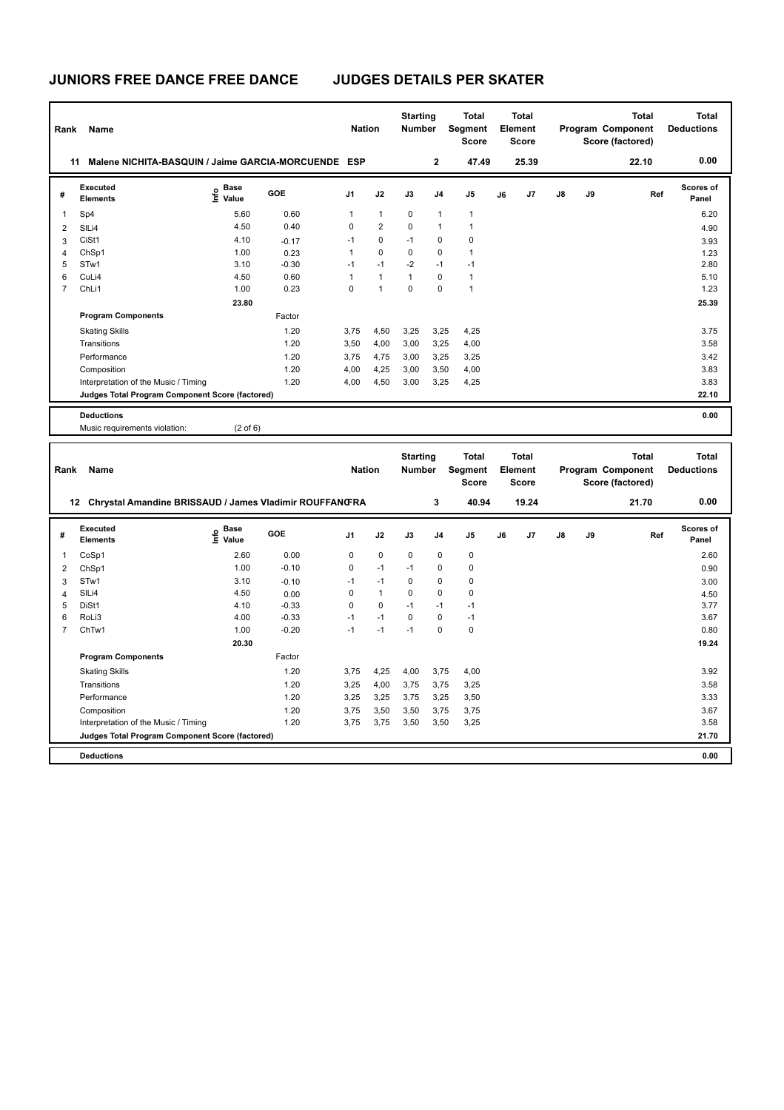| Rank                    | Name                                                                 |                                           |            | <b>Nation</b> |                | <b>Starting</b><br>Number |                | <b>Total</b><br>Segment<br><b>Score</b> |    | <b>Total</b><br>Element<br><b>Score</b> |    |    | <b>Total</b><br>Program Component<br>Score (factored) | <b>Total</b><br><b>Deductions</b> |
|-------------------------|----------------------------------------------------------------------|-------------------------------------------|------------|---------------|----------------|---------------------------|----------------|-----------------------------------------|----|-----------------------------------------|----|----|-------------------------------------------------------|-----------------------------------|
| 11                      | Malene NICHITA-BASQUIN / Jaime GARCIA-MORCUENDE ESP                  |                                           |            |               |                |                           | $\bf 2$        | 47.49                                   |    | 25.39                                   |    |    | 22.10                                                 | 0.00                              |
| #                       | Executed<br>Elements                                                 | $\frac{e}{E}$ Base<br>$\frac{E}{E}$ Value | <b>GOE</b> | J1            | J2             | J3                        | J4             | J5                                      | J6 | J7                                      | J8 | J9 | Ref                                                   | Scores of<br>Panel                |
| 1                       | Sp4                                                                  | 5.60                                      | 0.60       | $\mathbf{1}$  | $\mathbf{1}$   | $\mathbf 0$               | $\mathbf{1}$   | $\mathbf{1}$                            |    |                                         |    |    |                                                       | 6.20                              |
| $\overline{2}$          | SILi4                                                                | 4.50                                      | 0.40       | 0             | $\overline{2}$ | 0                         | $\mathbf{1}$   | $\mathbf{1}$                            |    |                                         |    |    |                                                       | 4.90                              |
| 3                       | CiSt1                                                                | 4.10                                      | $-0.17$    | $-1$          | $\mathbf 0$    | $-1$                      | 0              | $\mathbf 0$                             |    |                                         |    |    |                                                       | 3.93                              |
| $\overline{4}$          | ChSp1                                                                | 1.00                                      | 0.23       | $\mathbf{1}$  | $\mathbf 0$    | $\mathbf 0$               | 0              | $\mathbf{1}$                            |    |                                         |    |    |                                                       | 1.23                              |
| 5                       | STw1                                                                 | 3.10                                      | $-0.30$    | $-1$          | $-1$           | $-2$                      | $-1$           | $-1$                                    |    |                                         |    |    |                                                       | 2.80                              |
| 6                       | CuLi4                                                                | 4.50                                      | 0.60       | $\mathbf{1}$  | $\mathbf{1}$   | $\mathbf{1}$              | $\mathbf 0$    | $\mathbf{1}$                            |    |                                         |    |    |                                                       | 5.10                              |
| $\overline{7}$          | ChLi1                                                                | 1.00                                      | 0.23       | $\mathbf 0$   | $\mathbf{1}$   | $\mathbf 0$               | $\mathbf 0$    | $\mathbf{1}$                            |    |                                         |    |    |                                                       | 1.23                              |
|                         |                                                                      | 23.80                                     |            |               |                |                           |                |                                         |    |                                         |    |    |                                                       | 25.39                             |
|                         | <b>Program Components</b>                                            |                                           | Factor     |               |                |                           |                |                                         |    |                                         |    |    |                                                       |                                   |
|                         | <b>Skating Skills</b>                                                |                                           | 1.20       | 3,75          | 4,50           | 3,25                      | 3,25           | 4,25                                    |    |                                         |    |    |                                                       | 3.75                              |
|                         | Transitions                                                          |                                           | 1.20       | 3,50          | 4,00           | 3,00                      | 3,25           | 4,00                                    |    |                                         |    |    |                                                       | 3.58                              |
|                         | Performance                                                          |                                           | 1.20       | 3,75          | 4,75           | 3,00                      | 3,25           | 3,25                                    |    |                                         |    |    |                                                       | 3.42                              |
|                         | Composition                                                          |                                           | 1.20       | 4,00          | 4,25           | 3,00                      | 3,50           | 4,00                                    |    |                                         |    |    |                                                       | 3.83                              |
|                         | Interpretation of the Music / Timing                                 |                                           | 1.20       | 4,00          | 4,50           | 3,00                      | 3,25           | 4,25                                    |    |                                         |    |    |                                                       | 3.83                              |
|                         | Judges Total Program Component Score (factored)                      |                                           |            |               |                |                           |                |                                         |    |                                         |    |    |                                                       | 22.10                             |
|                         |                                                                      |                                           |            |               |                |                           |                |                                         |    |                                         |    |    |                                                       |                                   |
|                         | <b>Deductions</b>                                                    |                                           |            |               |                |                           |                |                                         |    |                                         |    |    |                                                       | 0.00                              |
|                         | Music requirements violation:                                        | $(2 \text{ of } 6)$                       |            |               |                |                           |                |                                         |    |                                         |    |    |                                                       |                                   |
|                         |                                                                      |                                           |            |               |                |                           |                |                                         |    |                                         |    |    |                                                       |                                   |
|                         |                                                                      |                                           |            |               |                |                           |                |                                         |    |                                         |    |    |                                                       |                                   |
|                         |                                                                      |                                           |            |               |                | <b>Starting</b>           |                | <b>Total</b>                            |    | Total                                   |    |    | <b>Total</b>                                          | <b>Total</b>                      |
| Rank                    | <b>Name</b>                                                          |                                           |            | <b>Nation</b> |                | <b>Number</b>             |                | Segment                                 |    | Element                                 |    |    | Program Component                                     | <b>Deductions</b>                 |
|                         |                                                                      |                                           |            |               |                |                           |                | <b>Score</b>                            |    | <b>Score</b>                            |    |    | Score (factored)                                      |                                   |
|                         |                                                                      |                                           |            |               |                |                           |                |                                         |    |                                         |    |    |                                                       |                                   |
|                         | 12 Chrystal Amandine BRISSAUD / James Vladimir ROUFFANGRA            |                                           |            |               |                |                           | 3              | 40.94                                   |    | 19.24                                   |    |    | 21.70                                                 | 0.00                              |
| #                       | <b>Executed</b><br><b>Elements</b>                                   | $\overset{\circ}{\text{E}}$ Value         | GOE        | J1            | J2             | J3                        | J <sub>4</sub> | J5                                      | J6 | J7                                      | J8 | J9 | Ref                                                   | Scores of<br>Panel                |
| 1                       | CoSp1                                                                | 2.60                                      | 0.00       | 0             | $\mathbf 0$    | 0                         | 0              | 0                                       |    |                                         |    |    |                                                       | 2.60                              |
| $\overline{\mathbf{c}}$ | ChSp1                                                                | 1.00                                      | $-0.10$    | $\mathbf 0$   | $-1$           | $-1$                      | 0              | 0                                       |    |                                         |    |    |                                                       | 0.90                              |
| 3                       | STw1                                                                 | 3.10                                      | $-0.10$    | $-1$          | $-1$           | $\mathbf 0$               | 0              | 0                                       |    |                                         |    |    |                                                       | 3.00                              |
| 4                       | SILi4                                                                | 4.50                                      | 0.00       | 0             | $\mathbf{1}$   | $\mathbf 0$               | $\mathbf 0$    | $\mathbf 0$                             |    |                                         |    |    |                                                       | 4.50                              |
| 5                       | DiSt1                                                                | 4.10                                      | $-0.33$    | $\mathbf 0$   | $\mathbf 0$    | $-1$                      | $-1$           | $-1$                                    |    |                                         |    |    |                                                       | 3.77                              |
| 6                       | RoLi3                                                                | 4.00                                      | $-0.33$    | $-1$          | $-1$           | $\mathbf 0$               | $\pmb{0}$      | $-1$                                    |    |                                         |    |    |                                                       | 3.67                              |
| $\overline{7}$          | ChTw1                                                                | 1.00                                      | $-0.20$    | $-1$          | $-1$           | $-1$                      | 0              | 0                                       |    |                                         |    |    |                                                       | 0.80                              |
|                         |                                                                      | 20.30                                     |            |               |                |                           |                |                                         |    |                                         |    |    |                                                       | 19.24                             |
|                         | <b>Program Components</b>                                            |                                           | Factor     |               |                |                           |                |                                         |    |                                         |    |    |                                                       |                                   |
|                         |                                                                      |                                           | 1.20       | 3,75          |                | 4,00                      |                |                                         |    |                                         |    |    |                                                       | 3.92                              |
|                         | <b>Skating Skills</b>                                                |                                           |            |               | 4,25           |                           | 3,75           | 4,00                                    |    |                                         |    |    |                                                       |                                   |
|                         | Transitions                                                          |                                           | 1.20       | 3,25          | 4,00           | 3,75                      | 3,75           | 3,25                                    |    |                                         |    |    |                                                       | 3.58                              |
|                         | Performance                                                          |                                           | 1.20       | 3,25          | 3,25           | 3,75                      | 3,25           | 3,50                                    |    |                                         |    |    |                                                       | 3.33                              |
|                         | Composition                                                          |                                           | 1.20       | 3,75          | 3,50           | 3,50                      | 3,75           | 3,75                                    |    |                                         |    |    |                                                       | 3.67                              |
|                         | Interpretation of the Music / Timing                                 |                                           | 1.20       | 3,75          | 3,75           | 3,50                      | 3,50           | 3,25                                    |    |                                         |    |    |                                                       | 3.58                              |
|                         | Judges Total Program Component Score (factored)<br><b>Deductions</b> |                                           |            |               |                |                           |                |                                         |    |                                         |    |    |                                                       | 21.70<br>0.00                     |